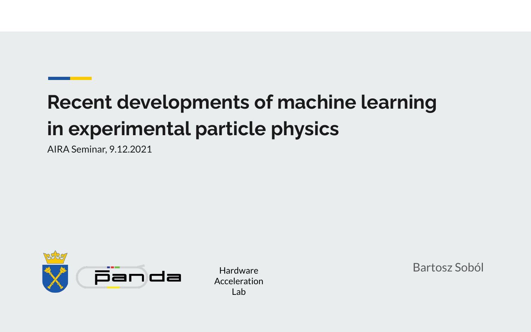# **Recent developments of machine learning in experimental particle physics**

AIRA Seminar, 9.12.2021



Acceleration Lab

Hardware Bartosz Soból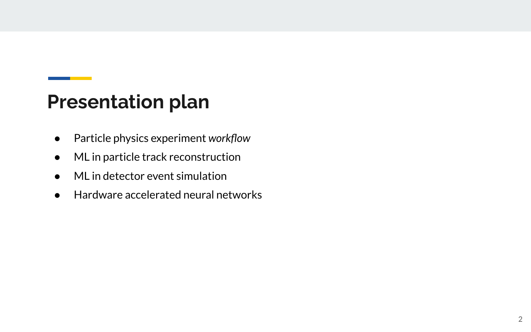## **Presentation plan**

- Particle physics experiment *workflow*
- ML in particle track reconstruction
- $\bullet$  ML in detector event simulation
- Hardware accelerated neural networks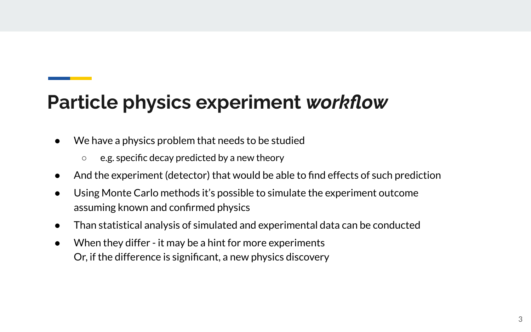# **Particle physics experiment** *workflow*

- We have a physics problem that needs to be studied
	- e.g. specific decay predicted by a new theory
- And the experiment (detector) that would be able to find effects of such prediction
- Using Monte Carlo methods it's possible to simulate the experiment outcome assuming known and confirmed physics
- Than statistical analysis of simulated and experimental data can be conducted
- When they differ it may be a hint for more experiments Or, if the difference is significant, a new physics discovery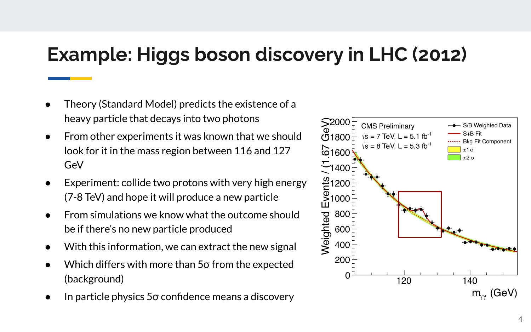# **Example: Higgs boson discovery in LHC (2012)**

- Theory (Standard Model) predicts the existence of a heavy particle that decays into two photons
- From other experiments it was known that we should look for it in the mass region between 116 and 127 GeV
- Experiment: collide two protons with very high energy (7-8 TeV) and hope it will produce a new particle
- From simulations we know what the outcome should be if there's no new particle produced
- With this information, we can extract the new signal
- Which differs with more than 5 $\sigma$  from the expected (background)
- In particle physics  $5\sigma$  confidence means a discovery

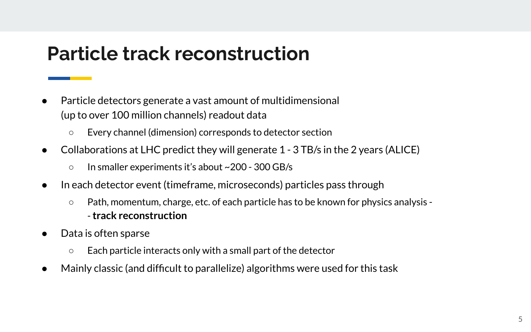#### **Particle track reconstruction**

- Particle detectors generate a vast amount of multidimensional (up to over 100 million channels) readout data
	- Every channel (dimension) corresponds to detector section
- Collaborations at LHC predict they will generate 1 3 TB/s in the 2 years (ALICE)
	- In smaller experiments it's about ~200 300 GB/s
- In each detector event (timeframe, microseconds) particles pass through
	- Path, momentum, charge, etc. of each particle has to be known for physics analysis - **track reconstruction**
- Data is often sparse
	- Each particle interacts only with a small part of the detector
- Mainly classic (and difficult to parallelize) algorithms were used for this task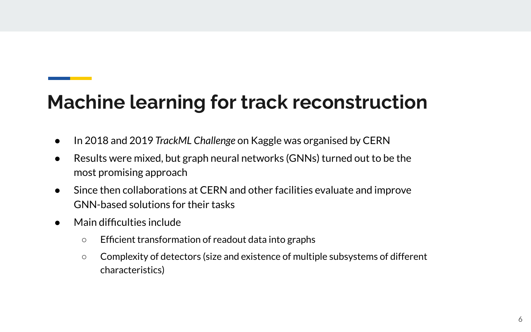# **Machine learning for track reconstruction**

- In 2018 and 2019 *TrackML Challenge* on Kaggle was organised by CERN
- Results were mixed, but graph neural networks (GNNs) turned out to be the most promising approach
- Since then collaborations at CERN and other facilities evaluate and improve GNN-based solutions for their tasks
- Main difficulties include
	- Efficient transformation of readout data into graphs
	- Complexity of detectors (size and existence of multiple subsystems of different characteristics)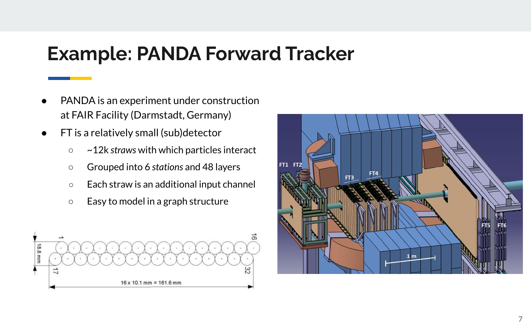#### **Example: PANDA Forward Tracker**

- PANDA is an experiment under construction at FAIR Facility (Darmstadt, Germany)
- FT is a relatively small (sub)detector
	- ~12k *straws* with which particles interact
	- Grouped into 6 *stations* and 48 layers
	- Each straw is an additional input channel
	- Easy to model in a graph structure



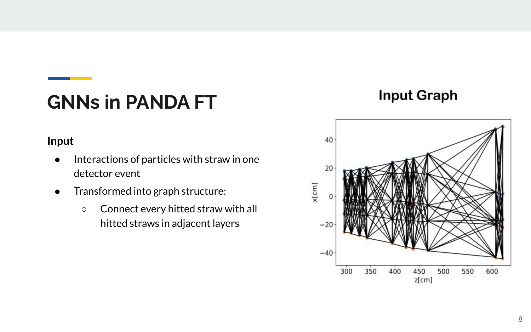# **GNNs in PANDA FT**

#### **Input Graph**

#### **Input**

- Interactions of particles with straw in one detector event
- Transformed into graph structure:
	- Connect every hitted straw with all hitted straws in adjacent layers

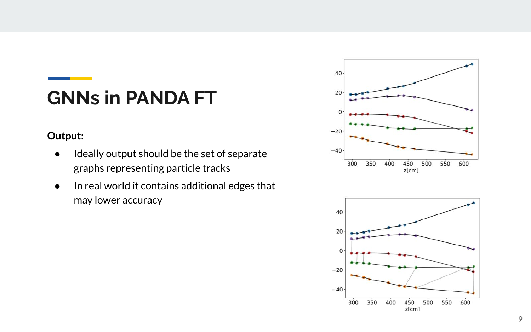# **GNNs in PANDA FT**

#### **Output:**

- Ideally output should be the set of separate graphs representing particle tracks
- In real world it contains additional edges that may lower accuracy



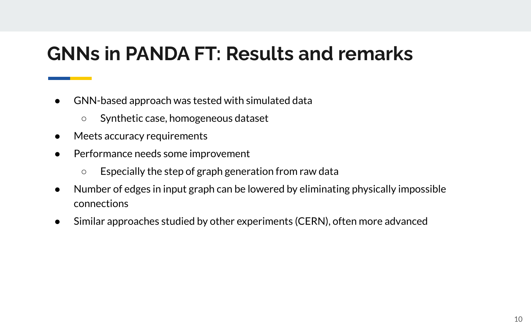## **GNNs in PANDA FT: Results and remarks**

- GNN-based approach was tested with simulated data
	- Synthetic case, homogeneous dataset
- Meets accuracy requirements
- Performance needs some improvement
	- Especially the step of graph generation from raw data
- Number of edges in input graph can be lowered by eliminating physically impossible connections
- Similar approaches studied by other experiments (CERN), often more advanced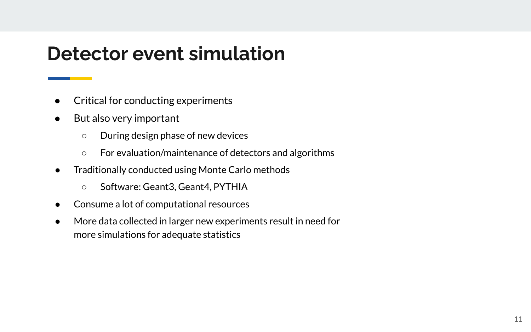#### **Detector event simulation**

- Critical for conducting experiments
- But also very important
	- During design phase of new devices
	- For evaluation/maintenance of detectors and algorithms
- Traditionally conducted using Monte Carlo methods
	- Software: Geant3, Geant4, PYTHIA
- Consume a lot of computational resources
- More data collected in larger new experiments result in need for more simulations for adequate statistics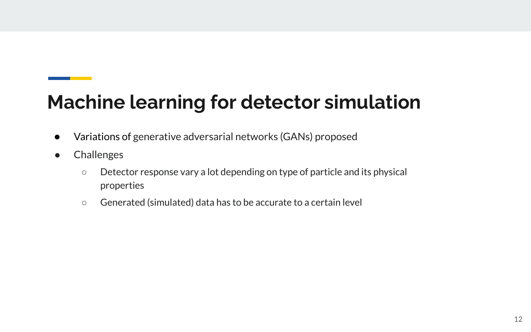# **Machine learning for detector simulation**

- Variations of generative adversarial networks (GANs) proposed
- Challenges
	- Detector response vary a lot depending on type of particle and its physical properties
	- Generated (simulated) data has to be accurate to a certain level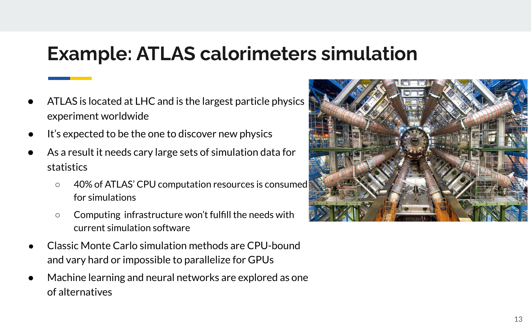## **Example: ATLAS calorimeters simulation**

- ATLAS is located at LHC and is the largest particle physics experiment worldwide
- It's expected to be the one to discover new physics
- As a result it needs cary large sets of simulation data for statistics
	- 40% of ATLAS' CPU computation resources is consumed for simulations
	- Computing infrastructure won't fulfill the needs with current simulation software
- Classic Monte Carlo simulation methods are CPU-bound and vary hard or impossible to parallelize for GPUs
- Machine learning and neural networks are explored as one of alternatives

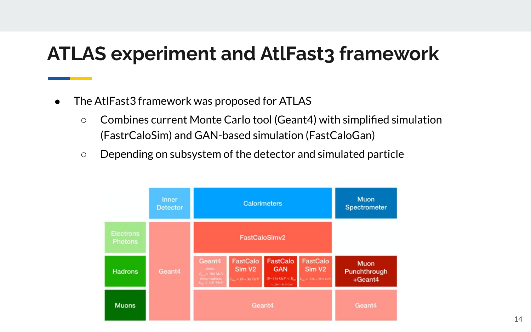### **ATLAS experiment and AtlFast3 framework**

- The AtlFast3 framework was proposed for ATLAS
	- Combines current Monte Carlo tool (Geant4) with simplified simulation (FastrCaloSim) and GAN-based simulation (FastCaloGan)
	- Depending on subsystem of the detector and simulated particle

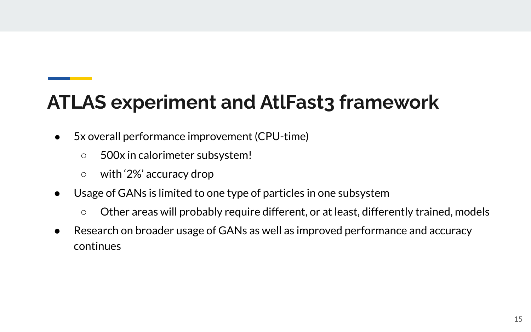# **ATLAS experiment and AtlFast3 framework**

- 5x overall performance improvement (CPU-time)
	- 500x in calorimeter subsystem!
	- with '2%' accuracy drop
- Usage of GANs is limited to one type of particles in one subsystem
	- Other areas will probably require different, or at least, differently trained, models
- Research on broader usage of GANs as well as improved performance and accuracy continues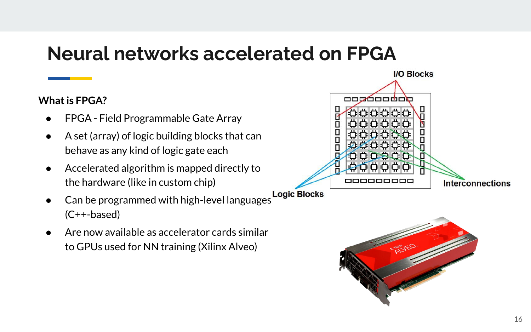### **Neural networks accelerated on FPGA**

#### **What is FPGA?**

- FPGA Field Programmable Gate Array
- A set (array) of logic building blocks that can behave as any kind of logic gate each
- Accelerated algorithm is mapped directly to the hardware (like in custom chip)
- Logic Blocks<br>Can be programmed with high-level languages (C++-based)
- Are now available as accelerator cards similar to GPUs used for NN training (Xilinx Alveo)



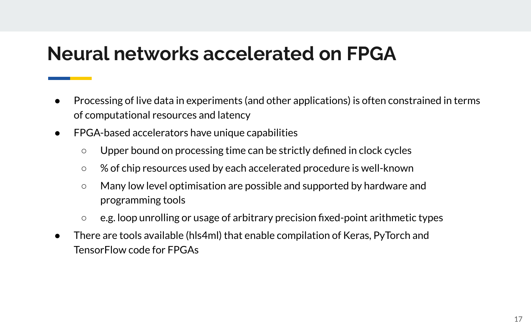### **Neural networks accelerated on FPGA**

- Processing of live data in experiments (and other applications) is often constrained in terms of computational resources and latency
- FPGA-based accelerators have unique capabilities
	- Upper bound on processing time can be strictly defined in clock cycles
	- % of chip resources used by each accelerated procedure is well-known
	- Many low level optimisation are possible and supported by hardware and programming tools
	- e.g. loop unrolling or usage of arbitrary precision fixed-point arithmetic types
- There are tools available (hls4ml) that enable compilation of Keras, PyTorch and TensorFlow code for FPGAs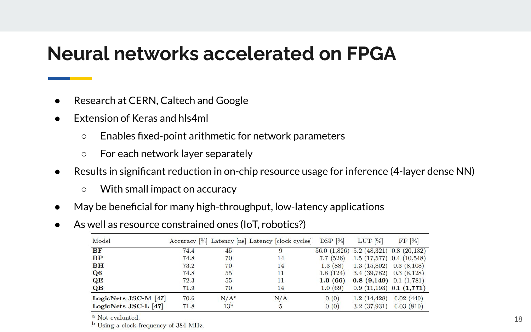#### **Neural networks accelerated on FPGA**

- Research at CERN, Caltech and Google
- **Extension of Keras and hls4ml** 
	- Enables fixed-point arithmetic for network parameters
	- For each network layer separately
- Results in significant reduction in on-chip resource usage for inference (4-layer dense NN)
	- With small impact on accuracy
- May be beneficial for many high-throughput, low-latency applications
- As well as resource constrained ones (IoT, robotics?)

| Model                   |      |                 | Accuracy [%] Latency [ns] Latency [clock cycles] | $DSP$ [%]   | $LUT$ [%]                 | FF [%]                       |
|-------------------------|------|-----------------|--------------------------------------------------|-------------|---------------------------|------------------------------|
| <b>BF</b>               | 74.4 | 45              | 9                                                | 56.0(1.826) |                           | $5.2(48,321)$ 0.8 $(20,132)$ |
| BP                      | 74.8 | 70              | 14                                               | 7.7(526)    |                           | $1.5(17,577)$ 0.4 $(10,548)$ |
| <b>BH</b>               | 73.2 | 70              | 14                                               | 1.3(88)     | 1.3(15,802)               | 0.3(8,108)                   |
| Q6                      | 74.8 | 55              | 11                                               | 1.8(124)    | 3.4(39,782)               | 0.3(8,128)                   |
| QE                      | 72.3 | 55              | 11                                               | 1.0(66)     | $0.8$ (9,149) 0.1 (1,781) |                              |
| $\overline{\mathbf{Q}}$ | 71.9 | 70              | 14                                               | 1.0(69)     |                           | $0.9(11,193)$ $0.1(1,771)$   |
| LogicNets JSC-M [47]    | 70.6 | $N/A^a$         | N/A                                              | 0(0)        | 1.2(14.428)               | 0.02(440)                    |
| LogicNets JSC-L [47]    | 71.8 | 13 <sup>b</sup> | 5                                                | 0(0)        | 3.2(37,931)               | 0.03(810)                    |

<sup>a</sup> Not evaluated.

<sup>b</sup> Using a clock frequency of 384 MHz.